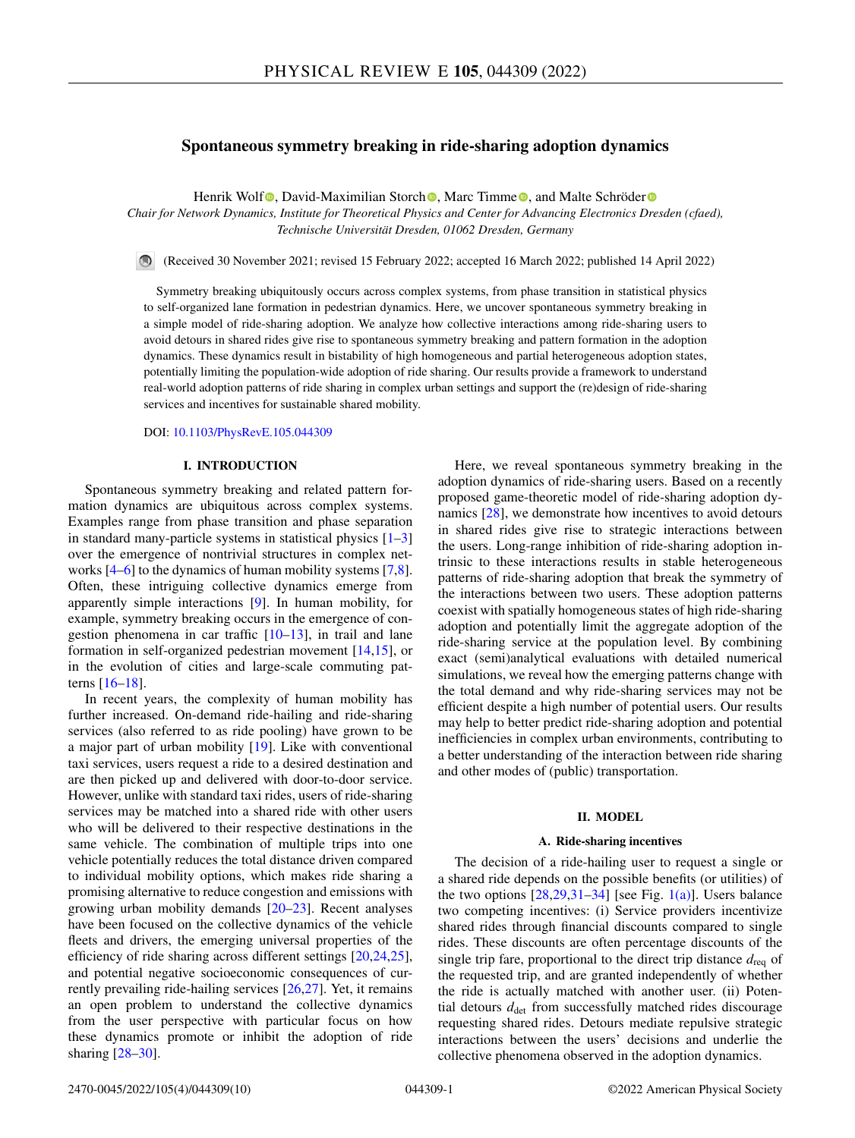# **Spontaneous symmetry breaking in ride-sharing adoption dynamics**

Henrik Wol[f](https://orcid.org/0000-0002-2031-6796)<sup>®</sup>[,](https://orcid.org/0000-0002-5956-3137) David-Maximilian Sto[r](https://orcid.org/0000-0001-8756-9918)ch<sup>®</sup>, Marc Timme<sup>®</sup>, and Malte Schröder<sup>®</sup>

*Chair for Network Dynamics, Institute for Theoretical Physics and Center for Advancing Electronics Dresden (cfaed), Technische Universität Dresden, 01062 Dresden, Germany*

(Received 30 November 2021; revised 15 February 2022; accepted 16 March 2022; published 14 April 2022)

Symmetry breaking ubiquitously occurs across complex systems, from phase transition in statistical physics to self-organized lane formation in pedestrian dynamics. Here, we uncover spontaneous symmetry breaking in a simple model of ride-sharing adoption. We analyze how collective interactions among ride-sharing users to avoid detours in shared rides give rise to spontaneous symmetry breaking and pattern formation in the adoption dynamics. These dynamics result in bistability of high homogeneous and partial heterogeneous adoption states, potentially limiting the population-wide adoption of ride sharing. Our results provide a framework to understand real-world adoption patterns of ride sharing in complex urban settings and support the (re)design of ride-sharing services and incentives for sustainable shared mobility.

DOI: [10.1103/PhysRevE.105.044309](https://doi.org/10.1103/PhysRevE.105.044309)

### **I. INTRODUCTION**

Spontaneous symmetry breaking and related pattern formation dynamics are ubiquitous across complex systems. Examples range from phase transition and phase separation in standard many-particle systems in statistical physics  $[1-3]$ over the emergence of nontrivial structures in complex networks [\[4–6\]](#page-8-0) to the dynamics of human mobility systems [\[7,8\]](#page-8-0). Often, these intriguing collective dynamics emerge from apparently simple interactions [\[9\]](#page-8-0). In human mobility, for example, symmetry breaking occurs in the emergence of congestion phenomena in car traffic [\[10–13\]](#page-8-0), in trail and lane formation in self-organized pedestrian movement [\[14,15\]](#page-8-0), or in the evolution of cities and large-scale commuting patterns [\[16–18\]](#page-8-0).

In recent years, the complexity of human mobility has further increased. On-demand ride-hailing and ride-sharing services (also referred to as ride pooling) have grown to be a major part of urban mobility [\[19\]](#page-8-0). Like with conventional taxi services, users request a ride to a desired destination and are then picked up and delivered with door-to-door service. However, unlike with standard taxi rides, users of ride-sharing services may be matched into a shared ride with other users who will be delivered to their respective destinations in the same vehicle. The combination of multiple trips into one vehicle potentially reduces the total distance driven compared to individual mobility options, which makes ride sharing a promising alternative to reduce congestion and emissions with growing urban mobility demands  $[20-23]$ . Recent analyses have been focused on the collective dynamics of the vehicle fleets and drivers, the emerging universal properties of the efficiency of ride sharing across different settings [\[20,24,25\]](#page-9-0), and potential negative socioeconomic consequences of currently prevailing ride-hailing services [\[26,27\]](#page-9-0). Yet, it remains an open problem to understand the collective dynamics from the user perspective with particular focus on how these dynamics promote or inhibit the adoption of ride sharing [\[28–30\]](#page-9-0).

Here, we reveal spontaneous symmetry breaking in the adoption dynamics of ride-sharing users. Based on a recently proposed game-theoretic model of ride-sharing adoption dynamics [\[28\]](#page-9-0), we demonstrate how incentives to avoid detours in shared rides give rise to strategic interactions between the users. Long-range inhibition of ride-sharing adoption intrinsic to these interactions results in stable heterogeneous patterns of ride-sharing adoption that break the symmetry of the interactions between two users. These adoption patterns coexist with spatially homogeneous states of high ride-sharing adoption and potentially limit the aggregate adoption of the ride-sharing service at the population level. By combining exact (semi)analytical evaluations with detailed numerical simulations, we reveal how the emerging patterns change with the total demand and why ride-sharing services may not be efficient despite a high number of potential users. Our results may help to better predict ride-sharing adoption and potential inefficiencies in complex urban environments, contributing to a better understanding of the interaction between ride sharing and other modes of (public) transportation.

### **II. MODEL**

### **A. Ride-sharing incentives**

The decision of a ride-hailing user to request a single or a shared ride depends on the possible benefits (or utilities) of the two options  $[28,29,31-34]$  [see Fig. [1\(a\)\]](#page-1-0). Users balance two competing incentives: (i) Service providers incentivize shared rides through financial discounts compared to single rides. These discounts are often percentage discounts of the single trip fare, proportional to the direct trip distance  $d_{\text{rea}}$  of the requested trip, and are granted independently of whether the ride is actually matched with another user. (ii) Potential detours  $d_{\text{det}}$  from successfully matched rides discourage requesting shared rides. Detours mediate repulsive strategic interactions between the users' decisions and underlie the collective phenomena observed in the adoption dynamics.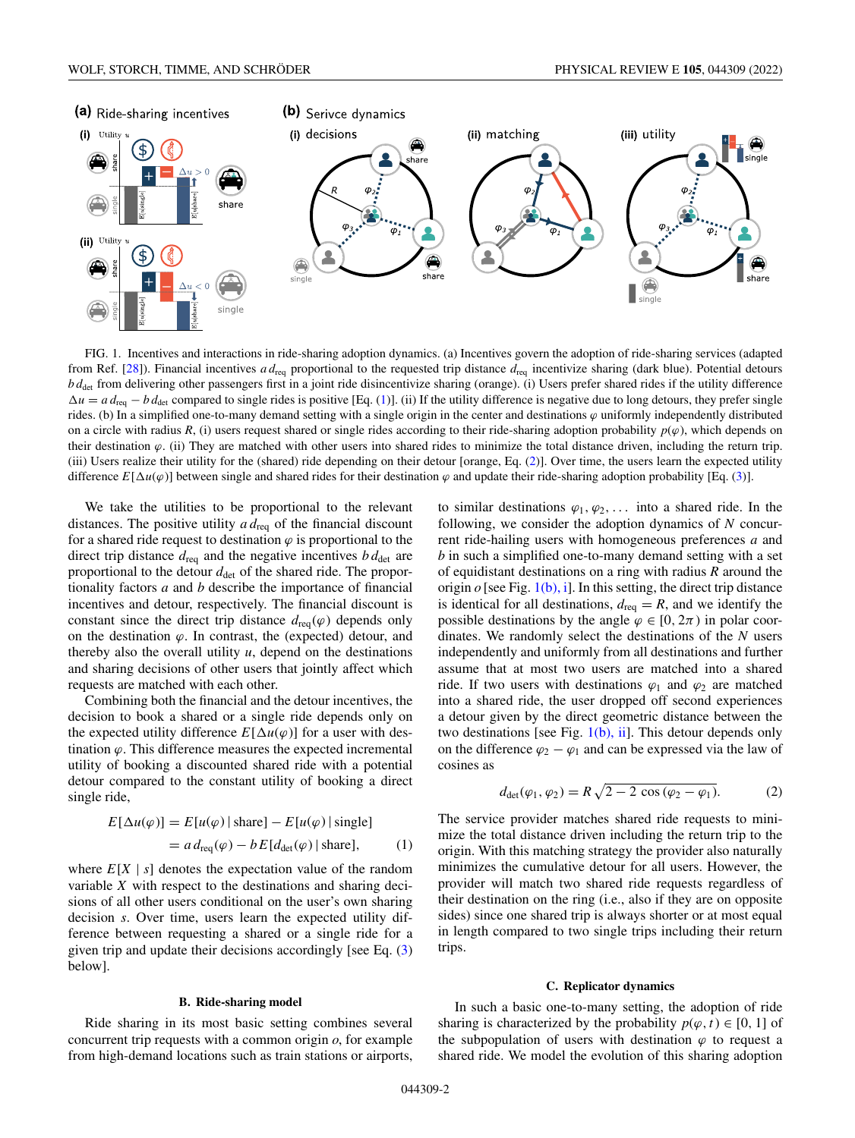<span id="page-1-0"></span>

FIG. 1. Incentives and interactions in ride-sharing adoption dynamics. (a) Incentives govern the adoption of ride-sharing services (adapted from Ref. [\[28\]](#page-9-0)). Financial incentives *a d*req proportional to the requested trip distance *d*req incentivize sharing (dark blue). Potential detours *b d*det from delivering other passengers first in a joint ride disincentivize sharing (orange). (i) Users prefer shared rides if the utility difference  $\Delta u = a d_{\text{req}} - b d_{\text{det}}$  compared to single rides is positive [Eq. (1)]. (ii) If the utility difference is negative due to long detours, they prefer single rides. (b) In a simplified one-to-many demand setting with a single origin in the center and destinations  $\varphi$  uniformly independently distributed on a circle with radius *R*, (i) users request shared or single rides according to their ride-sharing adoption probability  $p(\varphi)$ , which depends on their destination  $\varphi$ . (ii) They are matched with other users into shared rides to minimize the total distance driven, including the return trip. (iii) Users realize their utility for the (shared) ride depending on their detour [orange, Eq. (2)]. Over time, the users learn the expected utility difference  $E[\Delta u(\varphi)]$  between single and shared rides for their destination  $\varphi$  and update their ride-sharing adoption probability [Eq. [\(3\)](#page-2-0)].

We take the utilities to be proportional to the relevant distances. The positive utility *a d*req of the financial discount for a shared ride request to destination  $\varphi$  is proportional to the direct trip distance  $d_{\text{req}}$  and the negative incentives  $b d_{\text{det}}$  are proportional to the detour  $d_{\text{det}}$  of the shared ride. The proportionality factors *a* and *b* describe the importance of financial incentives and detour, respectively. The financial discount is constant since the direct trip distance  $d_{\text{req}}(\varphi)$  depends only on the destination  $\varphi$ . In contrast, the (expected) detour, and thereby also the overall utility  $u$ , depend on the destinations and sharing decisions of other users that jointly affect which requests are matched with each other.

Combining both the financial and the detour incentives, the decision to book a shared or a single ride depends only on the expected utility difference  $E[\Delta u(\varphi)]$  for a user with destination  $\varphi$ . This difference measures the expected incremental utility of booking a discounted shared ride with a potential detour compared to the constant utility of booking a direct single ride,

$$
E[\Delta u(\varphi)] = E[u(\varphi) | \text{share}] - E[u(\varphi) | \text{single}]
$$
  
=  $a d_{\text{req}}(\varphi) - b E[d_{\text{det}}(\varphi) | \text{share}],$  (1)

where  $E[X \mid s]$  denotes the expectation value of the random variable *X* with respect to the destinations and sharing decisions of all other users conditional on the user's own sharing decision *s*. Over time, users learn the expected utility difference between requesting a shared or a single ride for a given trip and update their decisions accordingly [see Eq. [\(3\)](#page-2-0) below].

## **B. Ride-sharing model**

Ride sharing in its most basic setting combines several concurrent trip requests with a common origin *o*, for example from high-demand locations such as train stations or airports,

to similar destinations  $\varphi_1, \varphi_2, \ldots$  into a shared ride. In the following, we consider the adoption dynamics of *N* concurrent ride-hailing users with homogeneous preferences *a* and *b* in such a simplified one-to-many demand setting with a set of equidistant destinations on a ring with radius *R* around the origin  $o$  [see Fig. 1(b), i]. In this setting, the direct trip distance is identical for all destinations,  $d_{\text{req}} = R$ , and we identify the possible destinations by the angle  $\varphi \in [0, 2\pi)$  in polar coordinates. We randomly select the destinations of the *N* users independently and uniformly from all destinations and further assume that at most two users are matched into a shared ride. If two users with destinations  $\varphi_1$  and  $\varphi_2$  are matched into a shared ride, the user dropped off second experiences a detour given by the direct geometric distance between the two destinations [see Fig.  $1(b)$ , ii]. This detour depends only on the difference  $\varphi_2 - \varphi_1$  and can be expressed via the law of cosines as

$$
d_{\det}(\varphi_1, \varphi_2) = R \sqrt{2 - 2 \cos (\varphi_2 - \varphi_1)}.
$$
 (2)

The service provider matches shared ride requests to minimize the total distance driven including the return trip to the origin. With this matching strategy the provider also naturally minimizes the cumulative detour for all users. However, the provider will match two shared ride requests regardless of their destination on the ring (i.e., also if they are on opposite sides) since one shared trip is always shorter or at most equal in length compared to two single trips including their return trips.

### **C. Replicator dynamics**

In such a basic one-to-many setting, the adoption of ride sharing is characterized by the probability  $p(\varphi, t) \in [0, 1]$  of the subpopulation of users with destination  $\varphi$  to request a shared ride. We model the evolution of this sharing adoption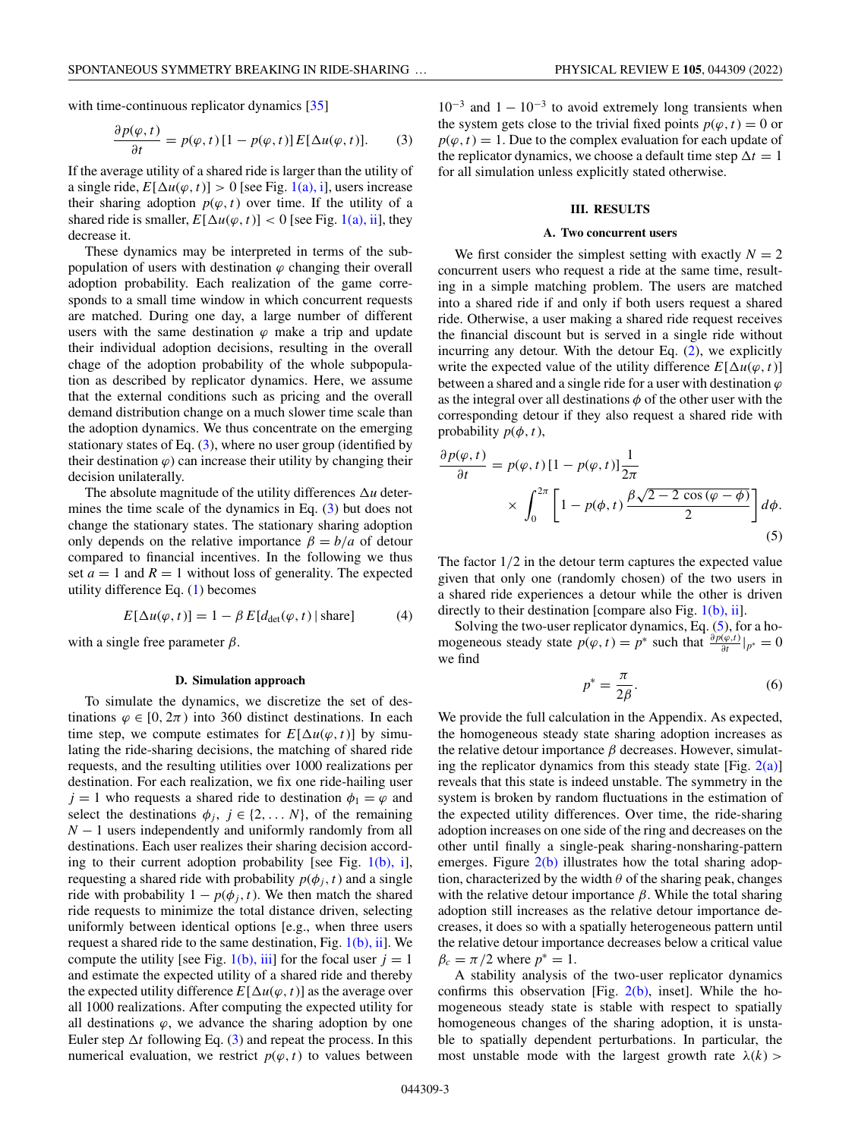<span id="page-2-0"></span>with time-continuous replicator dynamics [\[35\]](#page-9-0)

$$
\frac{\partial p(\varphi, t)}{\partial t} = p(\varphi, t) [1 - p(\varphi, t)] E[\Delta u(\varphi, t)]. \tag{3}
$$

If the average utility of a shared ride is larger than the utility of a single ride,  $E[\Delta u(\varphi, t)] > 0$  [see Fig. [1\(a\), i\]](#page-1-0), users increase their sharing adoption  $p(\varphi, t)$  over time. If the utility of a shared ride is smaller,  $E[\Delta u(\varphi, t)] < 0$  [see Fig. [1\(a\), ii\]](#page-1-0), they decrease it.

These dynamics may be interpreted in terms of the subpopulation of users with destination  $\varphi$  changing their overall adoption probability. Each realization of the game corresponds to a small time window in which concurrent requests are matched. During one day, a large number of different users with the same destination  $\varphi$  make a trip and update their individual adoption decisions, resulting in the overall chage of the adoption probability of the whole subpopulation as described by replicator dynamics. Here, we assume that the external conditions such as pricing and the overall demand distribution change on a much slower time scale than the adoption dynamics. We thus concentrate on the emerging stationary states of Eq. (3), where no user group (identified by their destination  $\varphi$ ) can increase their utility by changing their decision unilaterally.

The absolute magnitude of the utility differences  $\Delta u$  determines the time scale of the dynamics in Eq. (3) but does not change the stationary states. The stationary sharing adoption only depends on the relative importance  $\beta = b/a$  of detour compared to financial incentives. In the following we thus set  $a = 1$  and  $R = 1$  without loss of generality. The expected utility difference Eq. [\(1\)](#page-1-0) becomes

$$
E[\Delta u(\varphi, t)] = 1 - \beta E[d_{\det}(\varphi, t) | \text{share}] \tag{4}
$$

with a single free parameter  $\beta$ .

### **D. Simulation approach**

To simulate the dynamics, we discretize the set of destinations  $\varphi \in [0, 2\pi)$  into 360 distinct destinations. In each time step, we compute estimates for  $E[\Delta u(\varphi, t)]$  by simulating the ride-sharing decisions, the matching of shared ride requests, and the resulting utilities over 1000 realizations per destination. For each realization, we fix one ride-hailing user  $j = 1$  who requests a shared ride to destination  $\phi_1 = \varphi$  and select the destinations  $\phi_j$ ,  $j \in \{2, \dots N\}$ , of the remaining *N* − 1 users independently and uniformly randomly from all destinations. Each user realizes their sharing decision according to their current adoption probability [see Fig.  $1(b)$ , i], requesting a shared ride with probability  $p(\phi_i, t)$  and a single ride with probability  $1 - p(\phi_i, t)$ . We then match the shared ride requests to minimize the total distance driven, selecting uniformly between identical options [e.g., when three users request a shared ride to the same destination, Fig.  $1(b)$ , ii]. We compute the utility [see Fig.  $1(b)$ , iii] for the focal user  $j = 1$ and estimate the expected utility of a shared ride and thereby the expected utility difference  $E[\Delta u(\varphi, t)]$  as the average over all 1000 realizations. After computing the expected utility for all destinations  $\varphi$ , we advance the sharing adoption by one Euler step  $\Delta t$  following Eq. (3) and repeat the process. In this numerical evaluation, we restrict  $p(\varphi, t)$  to values between

 $10^{-3}$  and  $1 - 10^{-3}$  to avoid extremely long transients when the system gets close to the trivial fixed points  $p(\varphi, t) = 0$  or  $p(\varphi, t) = 1$ . Due to the complex evaluation for each update of the replicator dynamics, we choose a default time step  $\Delta t = 1$ for all simulation unless explicitly stated otherwise.

### **III. RESULTS**

#### **A. Two concurrent users**

We first consider the simplest setting with exactly  $N = 2$ concurrent users who request a ride at the same time, resulting in a simple matching problem. The users are matched into a shared ride if and only if both users request a shared ride. Otherwise, a user making a shared ride request receives the financial discount but is served in a single ride without incurring any detour. With the detour Eq. [\(2\)](#page-1-0), we explicitly write the expected value of the utility difference  $E[\Delta u(\varphi, t)]$ between a shared and a single ride for a user with destination  $\varphi$ as the integral over all destinations  $\phi$  of the other user with the corresponding detour if they also request a shared ride with probability  $p(\phi, t)$ ,

$$
\frac{\partial p(\varphi, t)}{\partial t} = p(\varphi, t) \left[ 1 - p(\varphi, t) \right] \frac{1}{2\pi}
$$

$$
\times \int_0^{2\pi} \left[ 1 - p(\varphi, t) \frac{\beta \sqrt{2 - 2 \cos(\varphi - \varphi)}}{2} \right] d\varphi.
$$
(5)

The factor  $1/2$  in the detour term captures the expected value given that only one (randomly chosen) of the two users in a shared ride experiences a detour while the other is driven directly to their destination [compare also Fig.  $1(b)$ , ii].

Solving the two-user replicator dynamics, Eq. (5), for a homogeneous steady state  $p(\varphi, t) = p^*$  such that  $\frac{\partial p(\varphi, t)}{\partial t}|_{p^*} = 0$ we find

$$
p^* = \frac{\pi}{2\beta}.\tag{6}
$$

We provide the full calculation in the Appendix. As expected, the homogeneous steady state sharing adoption increases as the relative detour importance  $\beta$  decreases. However, simulating the replicator dynamics from this steady state [Fig.  $2(a)$ ] reveals that this state is indeed unstable. The symmetry in the system is broken by random fluctuations in the estimation of the expected utility differences. Over time, the ride-sharing adoption increases on one side of the ring and decreases on the other until finally a single-peak sharing-nonsharing-pattern emerges. Figure  $2(b)$  illustrates how the total sharing adoption, characterized by the width  $\theta$  of the sharing peak, changes with the relative detour importance  $\beta$ . While the total sharing adoption still increases as the relative detour importance decreases, it does so with a spatially heterogeneous pattern until the relative detour importance decreases below a critical value  $\beta_c = \pi/2$  where  $p^* = 1$ .

A stability analysis of the two-user replicator dynamics confirms this observation [Fig.  $2(b)$ , inset]. While the homogeneous steady state is stable with respect to spatially homogeneous changes of the sharing adoption, it is unstable to spatially dependent perturbations. In particular, the most unstable mode with the largest growth rate  $\lambda(k)$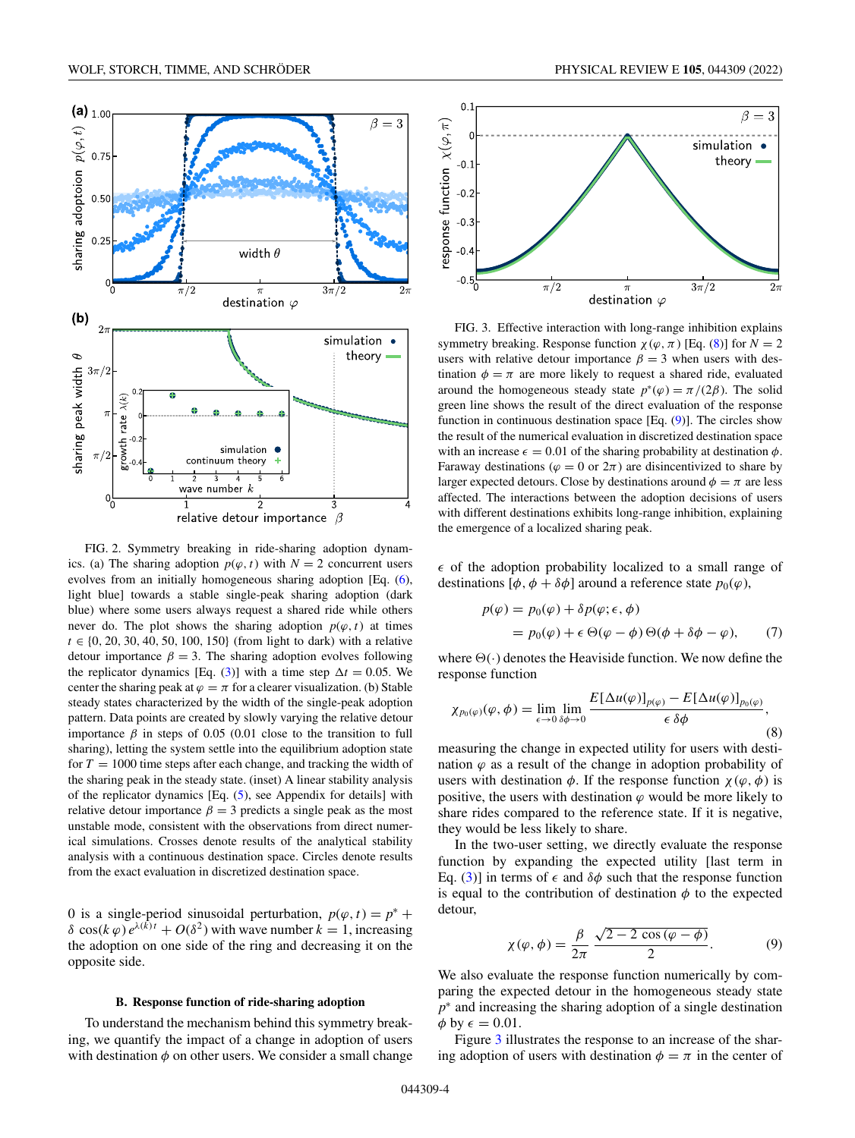<span id="page-3-0"></span>

FIG. 2. Symmetry breaking in ride-sharing adoption dynamics. (a) The sharing adoption  $p(\varphi, t)$  with  $N = 2$  concurrent users evolves from an initially homogeneous sharing adoption [Eq. [\(6\)](#page-2-0), light blue] towards a stable single-peak sharing adoption (dark blue) where some users always request a shared ride while others never do. The plot shows the sharing adoption  $p(\varphi, t)$  at times *t* ∈ {0, 20, 30, 40, 50, 100, 150} (from light to dark) with a relative detour importance  $\beta = 3$ . The sharing adoption evolves following the replicator dynamics [Eq. [\(3\)](#page-2-0)] with a time step  $\Delta t = 0.05$ . We center the sharing peak at  $\varphi = \pi$  for a clearer visualization. (b) Stable steady states characterized by the width of the single-peak adoption pattern. Data points are created by slowly varying the relative detour importance  $β$  in steps of 0.05 (0.01 close to the transition to full sharing), letting the system settle into the equilibrium adoption state for  $T = 1000$  time steps after each change, and tracking the width of the sharing peak in the steady state. (inset) A linear stability analysis of the replicator dynamics [Eq. [\(5\)](#page-2-0), see Appendix for details] with relative detour importance  $\beta = 3$  predicts a single peak as the most unstable mode, consistent with the observations from direct numerical simulations. Crosses denote results of the analytical stability analysis with a continuous destination space. Circles denote results from the exact evaluation in discretized destination space.

0 is a single-period sinusoidal perturbation,  $p(\varphi, t) = p^* +$ δ cos( $k$   $\varphi$ )  $e^{\lambda(k)t}$  +  $O(\delta^2)$  with wave number  $k = 1$ , increasing the adoption on one side of the ring and decreasing it on the opposite side.

## **B. Response function of ride-sharing adoption**

To understand the mechanism behind this symmetry breaking, we quantify the impact of a change in adoption of users with destination  $\phi$  on other users. We consider a small change



FIG. 3. Effective interaction with long-range inhibition explains symmetry breaking. Response function  $\chi(\varphi, \pi)$  [Eq. (8)] for  $N = 2$ users with relative detour importance  $\beta = 3$  when users with destination  $\phi = \pi$  are more likely to request a shared ride, evaluated around the homogeneous steady state  $p^*(\varphi) = \pi/(2\beta)$ . The solid green line shows the result of the direct evaluation of the response function in continuous destination space  $[Eq. (9)]$ . The circles show the result of the numerical evaluation in discretized destination space with an increase  $\epsilon = 0.01$  of the sharing probability at destination  $\phi$ . Faraway destinations ( $\varphi = 0$  or  $2\pi$ ) are disincentivized to share by larger expected detours. Close by destinations around  $\phi = \pi$  are less affected. The interactions between the adoption decisions of users with different destinations exhibits long-range inhibition, explaining the emergence of a localized sharing peak.

 $\epsilon$  of the adoption probability localized to a small range of destinations  $[\phi, \phi + \delta \phi]$  around a reference state  $p_0(\varphi)$ ,

$$
p(\varphi) = p_0(\varphi) + \delta p(\varphi; \epsilon, \phi)
$$
  
=  $p_0(\varphi) + \epsilon \Theta(\varphi - \phi) \Theta(\phi + \delta \phi - \varphi),$  (7)

where  $\Theta(\cdot)$  denotes the Heaviside function. We now define the response function

$$
\chi_{p_0(\varphi)}(\varphi,\phi) = \lim_{\epsilon \to 0} \lim_{\delta \phi \to 0} \frac{E[\Delta u(\varphi)]_{p(\varphi)} - E[\Delta u(\varphi)]_{p_0(\varphi)}}{\epsilon \delta \phi},\tag{8}
$$

measuring the change in expected utility for users with destination  $\varphi$  as a result of the change in adoption probability of users with destination  $\phi$ . If the response function  $\chi(\varphi, \phi)$  is positive, the users with destination  $\varphi$  would be more likely to share rides compared to the reference state. If it is negative, they would be less likely to share.

In the two-user setting, we directly evaluate the response function by expanding the expected utility [last term in Eq. [\(3\)](#page-2-0)] in terms of  $\epsilon$  and  $\delta\phi$  such that the response function is equal to the contribution of destination  $\phi$  to the expected detour,

$$
\chi(\varphi,\phi) = \frac{\beta}{2\pi} \frac{\sqrt{2 - 2\cos(\varphi - \phi)}}{2}.
$$
 (9)

We also evaluate the response function numerically by comparing the expected detour in the homogeneous steady state *p*<sup>∗</sup> and increasing the sharing adoption of a single destination  $\phi$  by  $\epsilon = 0.01$ .

Figure 3 illustrates the response to an increase of the sharing adoption of users with destination  $\phi = \pi$  in the center of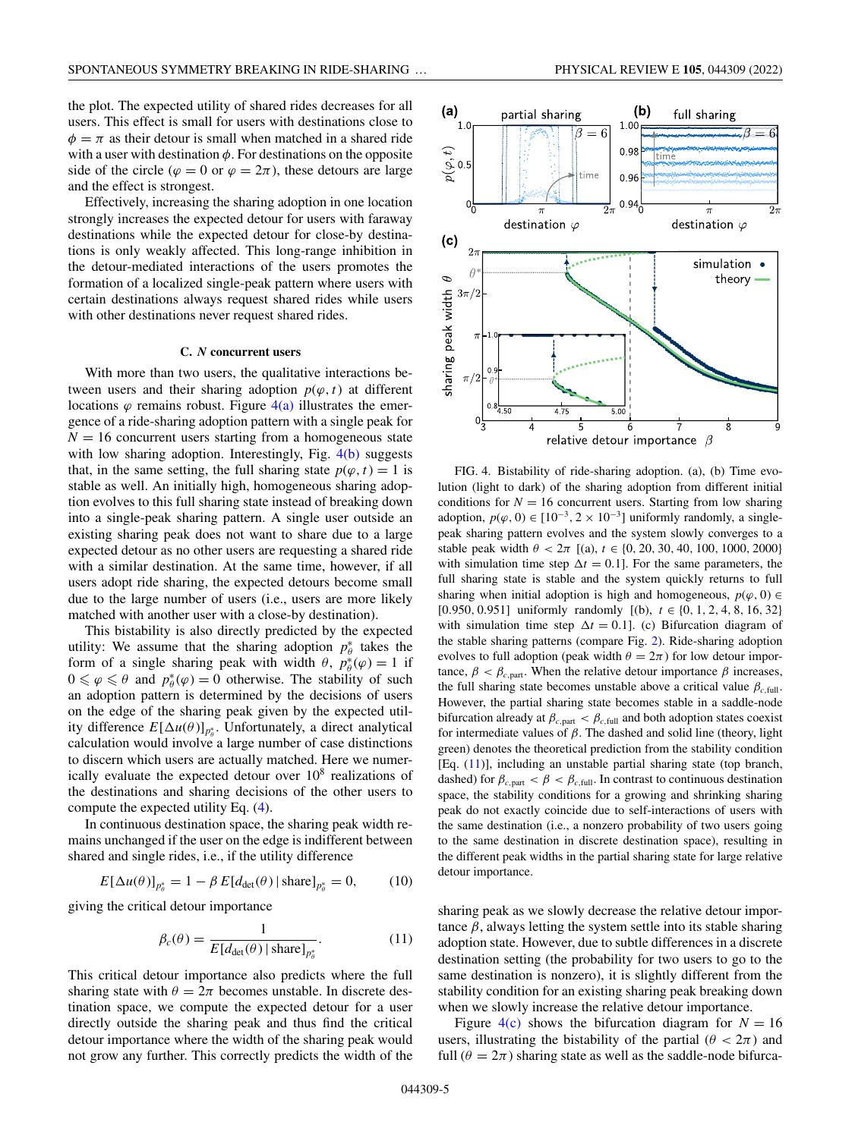<span id="page-4-0"></span>the plot. The expected utility of shared rides decreases for all users. This effect is small for users with destinations close to  $\phi = \pi$  as their detour is small when matched in a shared ride with a user with destination  $\phi$ . For destinations on the opposite side of the circle ( $\varphi = 0$  or  $\varphi = 2\pi$ ), these detours are large and the effect is strongest.

Effectively, increasing the sharing adoption in one location strongly increases the expected detour for users with faraway destinations while the expected detour for close-by destinations is only weakly affected. This long-range inhibition in the detour-mediated interactions of the users promotes the formation of a localized single-peak pattern where users with certain destinations always request shared rides while users with other destinations never request shared rides.

### **C.** *N* **concurrent users**

With more than two users, the qualitative interactions between users and their sharing adoption  $p(\varphi, t)$  at different locations  $\varphi$  remains robust. Figure  $4(a)$  illustrates the emergence of a ride-sharing adoption pattern with a single peak for  $N = 16$  concurrent users starting from a homogeneous state with low sharing adoption. Interestingly, Fig. 4(b) suggests that, in the same setting, the full sharing state  $p(\varphi, t) = 1$  is stable as well. An initially high, homogeneous sharing adoption evolves to this full sharing state instead of breaking down into a single-peak sharing pattern. A single user outside an existing sharing peak does not want to share due to a large expected detour as no other users are requesting a shared ride with a similar destination. At the same time, however, if all users adopt ride sharing, the expected detours become small due to the large number of users (i.e., users are more likely matched with another user with a close-by destination).

This bistability is also directly predicted by the expected utility: We assume that the sharing adoption  $p^*_{\theta}$  takes the form of a single sharing peak with width  $\theta$ ,  $p_{\theta}^{*}(\varphi) = 1$  if  $0 \le \varphi \le \theta$  and  $p^*_{\theta}(\varphi) = 0$  otherwise. The stability of such an adoption pattern is determined by the decisions of users on the edge of the sharing peak given by the expected utility difference  $E[\Delta u(\theta)]_{p_{\theta}^*}$ . Unfortunately, a direct analytical calculation would involve a large number of case distinctions to discern which users are actually matched. Here we numerically evaluate the expected detour over  $10^8$  realizations of the destinations and sharing decisions of the other users to compute the expected utility Eq. [\(4\)](#page-2-0).

In continuous destination space, the sharing peak width remains unchanged if the user on the edge is indifferent between shared and single rides, i.e., if the utility difference

$$
E[\Delta u(\theta)]_{p_{\theta}^*} = 1 - \beta E[d_{\det}(\theta) | \operatorname{share}]_{p_{\theta}^*} = 0, \quad (10)
$$

giving the critical detour importance

$$
\beta_c(\theta) = \frac{1}{E[d_{\det}(\theta) | \text{share}]_{p_\theta^*}}.
$$
\n(11)

This critical detour importance also predicts where the full sharing state with  $\theta = 2\pi$  becomes unstable. In discrete destination space, we compute the expected detour for a user directly outside the sharing peak and thus find the critical detour importance where the width of the sharing peak would not grow any further. This correctly predicts the width of the



FIG. 4. Bistability of ride-sharing adoption. (a), (b) Time evolution (light to dark) of the sharing adoption from different initial conditions for  $N = 16$  concurrent users. Starting from low sharing adoption,  $p(\varphi, 0)$  ∈  $[10^{-3}, 2 \times 10^{-3}]$  uniformly randomly, a singlepeak sharing pattern evolves and the system slowly converges to a stable peak width  $\theta < 2\pi$  [(a),  $t \in \{0, 20, 30, 40, 100, 1000, 2000\}$ with simulation time step  $\Delta t = 0.1$ ]. For the same parameters, the full sharing state is stable and the system quickly returns to full sharing when initial adoption is high and homogeneous,  $p(\varphi, 0) \in$ [0.950, 0.951] uniformly randomly [(b), *t* ∈ {0, 1, 2, 4, 8, 16, 32} with simulation time step  $\Delta t = 0.1$ ]. (c) Bifurcation diagram of the stable sharing patterns (compare Fig. [2\)](#page-3-0). Ride-sharing adoption evolves to full adoption (peak width  $\theta = 2\pi$ ) for low detour importance,  $\beta < \beta_{c,part}$ . When the relative detour importance  $\beta$  increases, the full sharing state becomes unstable above a critical value  $\beta_{c, \text{full}}$ . However, the partial sharing state becomes stable in a saddle-node bifurcation already at  $\beta_{c,part} < \beta_{c,full}$  and both adoption states coexist for intermediate values of  $\beta$ . The dashed and solid line (theory, light green) denotes the theoretical prediction from the stability condition [Eq. (11)], including an unstable partial sharing state (top branch, dashed) for  $\beta_{c,part} < \beta < \beta_{c,full}$ . In contrast to continuous destination space, the stability conditions for a growing and shrinking sharing peak do not exactly coincide due to self-interactions of users with the same destination (i.e., a nonzero probability of two users going to the same destination in discrete destination space), resulting in the different peak widths in the partial sharing state for large relative detour importance.

sharing peak as we slowly decrease the relative detour importance  $\beta$ , always letting the system settle into its stable sharing adoption state. However, due to subtle differences in a discrete destination setting (the probability for two users to go to the same destination is nonzero), it is slightly different from the stability condition for an existing sharing peak breaking down when we slowly increase the relative detour importance.

Figure  $4(c)$  shows the bifurcation diagram for  $N = 16$ users, illustrating the bistability of the partial ( $\theta < 2\pi$ ) and full  $(\theta = 2\pi)$  sharing state as well as the saddle-node bifurca-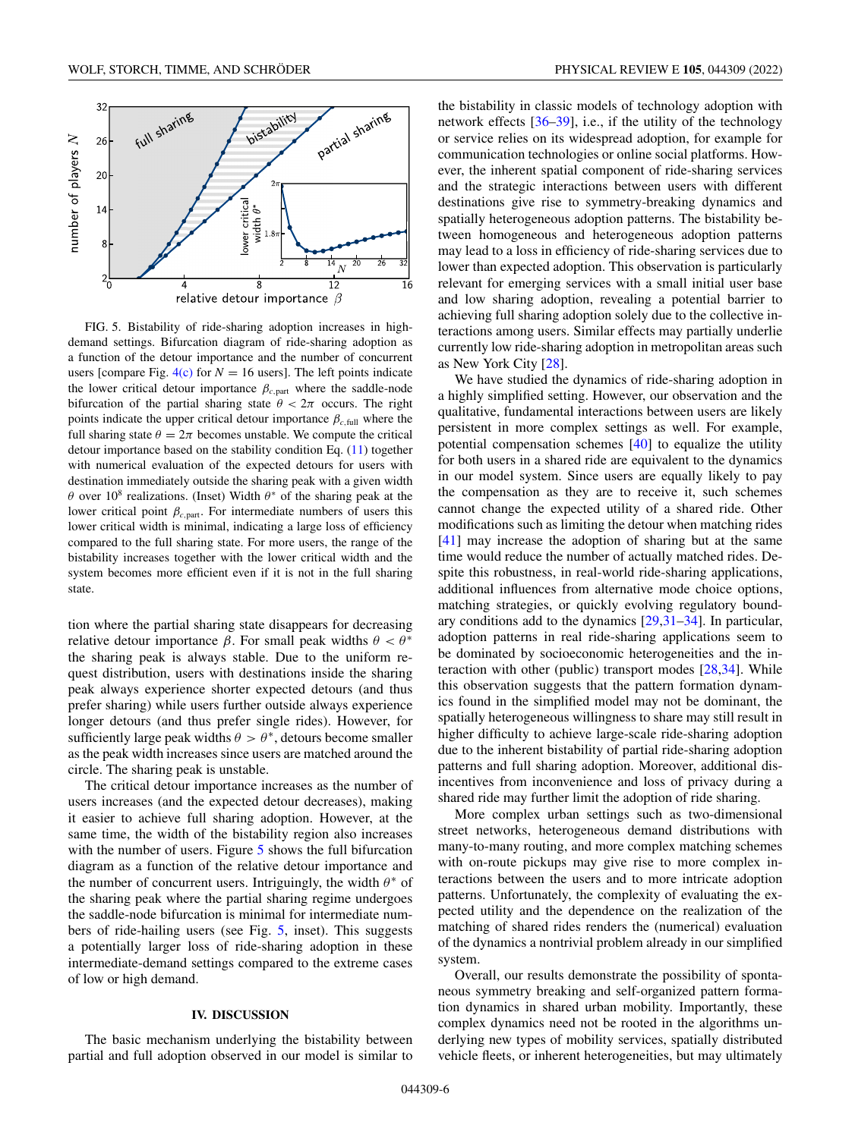

FIG. 5. Bistability of ride-sharing adoption increases in highdemand settings. Bifurcation diagram of ride-sharing adoption as a function of the detour importance and the number of concurrent users [compare Fig.  $4(c)$  for  $N = 16$  users]. The left points indicate the lower critical detour importance  $\beta_{c,part}$  where the saddle-node bifurcation of the partial sharing state  $\theta < 2\pi$  occurs. The right points indicate the upper critical detour importance  $\beta_{c,full}$  where the full sharing state  $\theta = 2\pi$  becomes unstable. We compute the critical detour importance based on the stability condition Eq. [\(11\)](#page-4-0) together with numerical evaluation of the expected detours for users with destination immediately outside the sharing peak with a given width θ over 10<sup>8</sup> realizations. (Inset) Width  $θ^*$  of the sharing peak at the lower critical point  $\beta_{c,part}$ . For intermediate numbers of users this lower critical width is minimal, indicating a large loss of efficiency compared to the full sharing state. For more users, the range of the bistability increases together with the lower critical width and the system becomes more efficient even if it is not in the full sharing state.

tion where the partial sharing state disappears for decreasing relative detour importance β. For small peak widths  $\theta < \theta^*$ the sharing peak is always stable. Due to the uniform request distribution, users with destinations inside the sharing peak always experience shorter expected detours (and thus prefer sharing) while users further outside always experience longer detours (and thus prefer single rides). However, for sufficiently large peak widths  $\theta > \theta^*$ , detours become smaller as the peak width increases since users are matched around the circle. The sharing peak is unstable.

The critical detour importance increases as the number of users increases (and the expected detour decreases), making it easier to achieve full sharing adoption. However, at the same time, the width of the bistability region also increases with the number of users. Figure 5 shows the full bifurcation diagram as a function of the relative detour importance and the number of concurrent users. Intriguingly, the width  $\theta^*$  of the sharing peak where the partial sharing regime undergoes the saddle-node bifurcation is minimal for intermediate numbers of ride-hailing users (see Fig. 5, inset). This suggests a potentially larger loss of ride-sharing adoption in these intermediate-demand settings compared to the extreme cases of low or high demand.

#### **IV. DISCUSSION**

The basic mechanism underlying the bistability between partial and full adoption observed in our model is similar to

the bistability in classic models of technology adoption with network effects [\[36–39\]](#page-9-0), i.e., if the utility of the technology or service relies on its widespread adoption, for example for communication technologies or online social platforms. However, the inherent spatial component of ride-sharing services and the strategic interactions between users with different destinations give rise to symmetry-breaking dynamics and spatially heterogeneous adoption patterns. The bistability between homogeneous and heterogeneous adoption patterns may lead to a loss in efficiency of ride-sharing services due to lower than expected adoption. This observation is particularly relevant for emerging services with a small initial user base and low sharing adoption, revealing a potential barrier to achieving full sharing adoption solely due to the collective interactions among users. Similar effects may partially underlie currently low ride-sharing adoption in metropolitan areas such as New York City [\[28\]](#page-9-0).

We have studied the dynamics of ride-sharing adoption in a highly simplified setting. However, our observation and the qualitative, fundamental interactions between users are likely persistent in more complex settings as well. For example, potential compensation schemes [\[40\]](#page-9-0) to equalize the utility for both users in a shared ride are equivalent to the dynamics in our model system. Since users are equally likely to pay the compensation as they are to receive it, such schemes cannot change the expected utility of a shared ride. Other modifications such as limiting the detour when matching rides [\[41\]](#page-9-0) may increase the adoption of sharing but at the same time would reduce the number of actually matched rides. Despite this robustness, in real-world ride-sharing applications, additional influences from alternative mode choice options, matching strategies, or quickly evolving regulatory boundary conditions add to the dynamics [\[29,31–34\]](#page-9-0). In particular, adoption patterns in real ride-sharing applications seem to be dominated by socioeconomic heterogeneities and the interaction with other (public) transport modes [\[28,34\]](#page-9-0). While this observation suggests that the pattern formation dynamics found in the simplified model may not be dominant, the spatially heterogeneous willingness to share may still result in higher difficulty to achieve large-scale ride-sharing adoption due to the inherent bistability of partial ride-sharing adoption patterns and full sharing adoption. Moreover, additional disincentives from inconvenience and loss of privacy during a shared ride may further limit the adoption of ride sharing.

More complex urban settings such as two-dimensional street networks, heterogeneous demand distributions with many-to-many routing, and more complex matching schemes with on-route pickups may give rise to more complex interactions between the users and to more intricate adoption patterns. Unfortunately, the complexity of evaluating the expected utility and the dependence on the realization of the matching of shared rides renders the (numerical) evaluation of the dynamics a nontrivial problem already in our simplified system.

Overall, our results demonstrate the possibility of spontaneous symmetry breaking and self-organized pattern formation dynamics in shared urban mobility. Importantly, these complex dynamics need not be rooted in the algorithms underlying new types of mobility services, spatially distributed vehicle fleets, or inherent heterogeneities, but may ultimately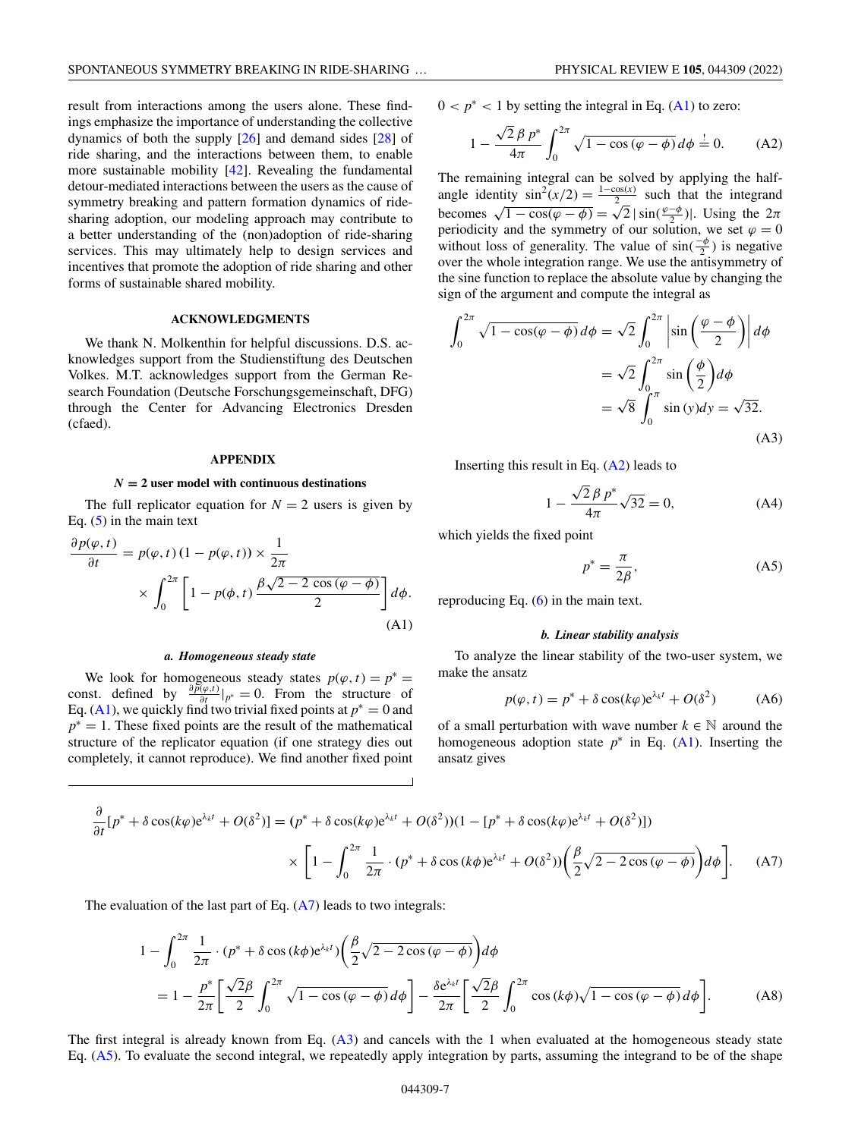<span id="page-6-0"></span>result from interactions among the users alone. These findings emphasize the importance of understanding the collective dynamics of both the supply  $[26]$  and demand sides  $[28]$  of ride sharing, and the interactions between them, to enable more sustainable mobility [\[42\]](#page-9-0). Revealing the fundamental detour-mediated interactions between the users as the cause of symmetry breaking and pattern formation dynamics of ridesharing adoption, our modeling approach may contribute to a better understanding of the (non)adoption of ride-sharing services. This may ultimately help to design services and incentives that promote the adoption of ride sharing and other forms of sustainable shared mobility.

## **ACKNOWLEDGMENTS**

We thank N. Molkenthin for helpful discussions. D.S. acknowledges support from the Studienstiftung des Deutschen Volkes. M.T. acknowledges support from the German Research Foundation (Deutsche Forschungsgemeinschaft, DFG) through the Center for Advancing Electronics Dresden (cfaed).

### **APPENDIX**

### $N = 2$  user model with continuous destinations

The full replicator equation for  $N = 2$  users is given by Eq.  $(5)$  in the main text

$$
\frac{\partial p(\varphi, t)}{\partial t} = p(\varphi, t) (1 - p(\varphi, t)) \times \frac{1}{2\pi}
$$

$$
\times \int_0^{2\pi} \left[ 1 - p(\varphi, t) \frac{\beta \sqrt{2 - 2 \cos(\varphi - \varphi)}}{2} \right] d\varphi.
$$
(A1)

### *a. Homogeneous steady state*

We look for homogeneous steady states  $p(\varphi, t) = p^* =$ const. defined by  $\frac{\partial \tilde{p}(\varphi,t)}{\partial t}|_{p^*}=0$ . From the structure of Eq. (A1), we quickly find two trivial fixed points at  $p^* = 0$  and *p*<sup>∗</sup> = 1. These fixed points are the result of the mathematical structure of the replicator equation (if one strategy dies out completely, it cannot reproduce). We find another fixed point

 $0 < p^* < 1$  by setting the integral in Eq. (A1) to zero:

$$
1 - \frac{\sqrt{2} \beta p^*}{4\pi} \int_0^{2\pi} \sqrt{1 - \cos(\varphi - \phi)} \, d\phi = 0. \tag{A2}
$$

The remaining integral can be solved by applying the halfangle identity  $\sin^2(x/2) = \frac{1-\cos(x)}{2}$  such that the integrand<br>becomes  $\sqrt{1-\cos(\varphi-\phi)} = \sqrt{2} |\sin(\frac{\varphi-\phi}{2})|$ . Using the  $2\pi$ periodicity and the symmetry of our solution, we set  $\varphi = 0$ without loss of generality. The value of  $sin(\frac{-\phi}{2})$  is negative over the whole integration range. We use the antisymmetry of the sine function to replace the absolute value by changing the sign of the argument and compute the integral as

$$
\int_0^{2\pi} \sqrt{1 - \cos(\varphi - \phi)} \, d\phi = \sqrt{2} \int_0^{2\pi} \left| \sin\left(\frac{\varphi - \phi}{2}\right) \right| d\phi
$$

$$
= \sqrt{2} \int_0^{2\pi} \sin\left(\frac{\phi}{2}\right) d\phi
$$

$$
= \sqrt{8} \int_0^{\pi} \sin(y) dy = \sqrt{32}.
$$
(A3)

Inserting this result in Eq.  $(A2)$  leads to

$$
1 - \frac{\sqrt{2} \beta p^*}{4\pi} \sqrt{32} = 0,
$$
 (A4)

which yields the fixed point

$$
p^* = \frac{\pi}{2\beta},\tag{A5}
$$

reproducing Eq. [\(6\)](#page-2-0) in the main text.

### *b. Linear stability analysis*

To analyze the linear stability of the two-user system, we make the ansatz

$$
p(\varphi, t) = p^* + \delta \cos(k\varphi) e^{\lambda_k t} + O(\delta^2)
$$
 (A6)

of a small perturbation with wave number  $k \in \mathbb{N}$  around the homogeneous adoption state  $p^*$  in Eq. (A1). Inserting the ansatz gives

$$
\frac{\partial}{\partial t}[p^* + \delta \cos(k\varphi)e^{\lambda_k t} + O(\delta^2)] = (p^* + \delta \cos(k\varphi)e^{\lambda_k t} + O(\delta^2))(1 - [p^* + \delta \cos(k\varphi)e^{\lambda_k t} + O(\delta^2)])
$$

$$
\times \left[1 - \int_0^{2\pi} \frac{1}{2\pi} \cdot (p^* + \delta \cos(k\varphi)e^{\lambda_k t} + O(\delta^2)) \left(\frac{\beta}{2}\sqrt{2 - 2\cos(\varphi - \varphi)}\right) d\varphi\right].
$$
 (A7)

The evaluation of the last part of Eq. (A7) leads to two integrals:

$$
1 - \int_0^{2\pi} \frac{1}{2\pi} \cdot (p^* + \delta \cos(k\phi) e^{\lambda_k t}) \left( \frac{\beta}{2} \sqrt{2 - 2 \cos(\varphi - \phi)} \right) d\phi
$$
  
= 
$$
1 - \frac{p^*}{2\pi} \left[ \frac{\sqrt{2}\beta}{2} \int_0^{2\pi} \sqrt{1 - \cos(\varphi - \phi)} d\phi \right] - \frac{\delta e^{\lambda_k t}}{2\pi} \left[ \frac{\sqrt{2}\beta}{2} \int_0^{2\pi} \cos(k\phi) \sqrt{1 - \cos(\varphi - \phi)} d\phi \right].
$$
 (A8)

The first integral is already known from Eq. (A3) and cancels with the 1 when evaluated at the homogeneous steady state Eq. (A5). To evaluate the second integral, we repeatedly apply integration by parts, assuming the integrand to be of the shape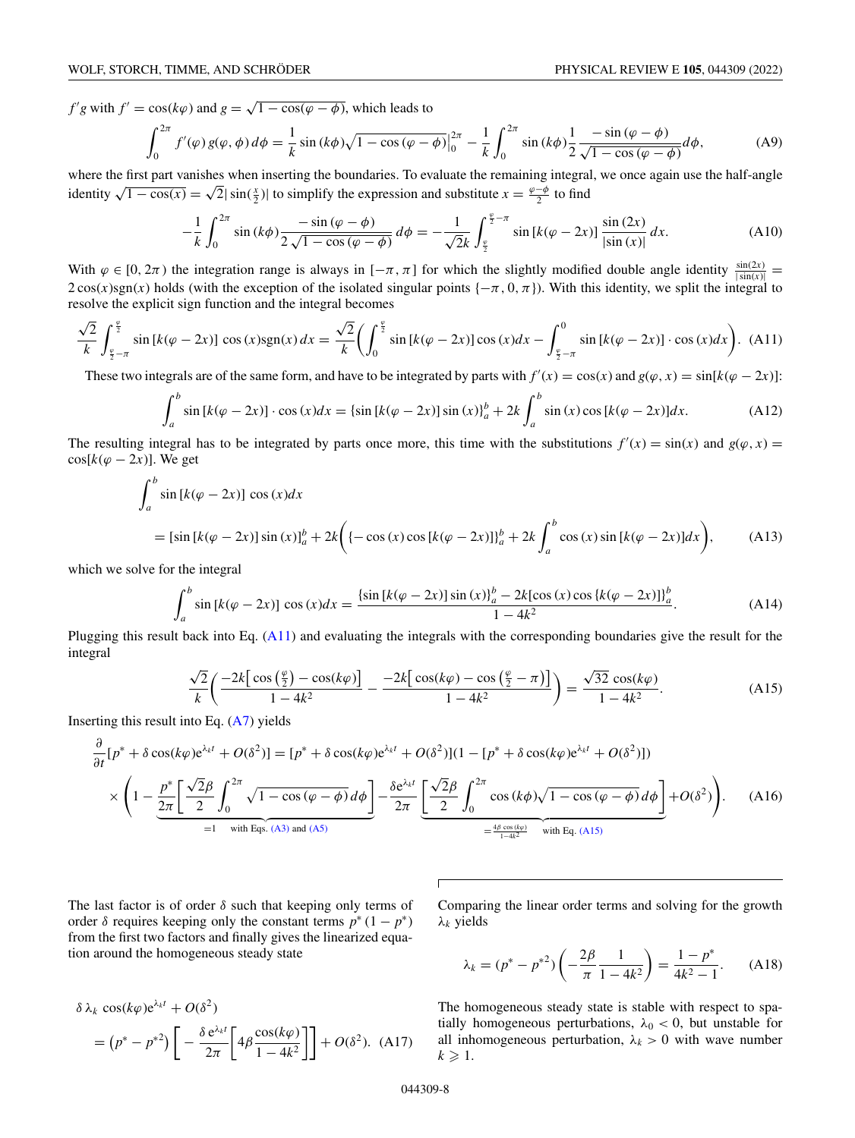$f'g$  with  $f' = \cos(k\varphi)$  and  $g = \sqrt{1 - \cos(\varphi - \varphi)}$ , which leads to

$$
\int_0^{2\pi} f'(\varphi) g(\varphi, \phi) d\phi = \frac{1}{k} \sin (k\phi) \sqrt{1 - \cos (\varphi - \phi)} \Big|_0^{2\pi} - \frac{1}{k} \int_0^{2\pi} \sin (k\phi) \frac{1}{2} \frac{-\sin (\varphi - \phi)}{\sqrt{1 - \cos (\varphi - \phi)}} d\phi, \tag{A9}
$$

where the first part vanishes when inserting the boundaries. To evaluate the remaining integral, we once again use the half-angle where the first part vanishes when inserting the boundaries. To evaluate the remaining integral identity  $\sqrt{1-\cos(x)} = \sqrt{2}|\sin(\frac{x}{2})|$  to simplify the expression and substitute  $x = \frac{\varphi-\phi}{2}$  to find

$$
-\frac{1}{k} \int_0^{2\pi} \sin(k\phi) \frac{-\sin(\varphi - \phi)}{2\sqrt{1 - \cos(\varphi - \phi)}} d\phi = -\frac{1}{\sqrt{2}k} \int_{\frac{\varphi}{2}}^{\frac{\varphi}{2} - \pi} \sin[k(\varphi - 2x)] \frac{\sin(2x)}{|\sin(x)|} dx.
$$
 (A10)

With  $\varphi \in [0, 2\pi)$  the integration range is always in  $[-\pi, \pi]$  for which the slightly modified double angle identity  $\frac{\sin(2x)}{|\sin(x)|}$  $2\cos(x)\sin(x)$  holds (with the exception of the isolated singular points  $\{-\pi, 0, \pi\}$ ). With this identity, we split the integral to resolve the explicit sign function and the integral becomes

$$
\frac{\sqrt{2}}{k} \int_{\frac{\varphi}{2}-\pi}^{\frac{\varphi}{2}} \sin\left[k(\varphi-2x)\right] \cos(x) \operatorname{sgn}(x) \, dx = \frac{\sqrt{2}}{k} \left( \int_0^{\frac{\varphi}{2}} \sin\left[k(\varphi-2x)\right] \cos(x) \, dx - \int_{\frac{\varphi}{2}-\pi}^0 \sin\left[k(\varphi-2x)\right] \cdot \cos(x) \, dx \right). \tag{A11}
$$

These two integrals are of the same form, and have to be integrated by parts with  $f'(x) = cos(x)$  and  $g(\varphi, x) = sin[k(\varphi - 2x)]$ :

$$
\int_{a}^{b} \sin\left[k(\varphi - 2x)\right] \cdot \cos\left(x\right)dx = \left\{\sin\left[k(\varphi - 2x)\right]\sin\left(x\right)\right\}_{a}^{b} + 2k \int_{a}^{b} \sin\left(x\right)\cos\left[k(\varphi - 2x)\right]dx. \tag{A12}
$$

The resulting integral has to be integrated by parts once more, this time with the substitutions  $f'(x) = \sin(x)$  and  $g(\varphi, x) =$  $cos[k(\varphi - 2x)]$ . We get

$$
\int_{a}^{b} \sin [k(\varphi - 2x)] \cos (x) dx
$$
  
=  $[\sin [k(\varphi - 2x)] \sin (x)]_{a}^{b} + 2k \left( \{-\cos (x) \cos [k(\varphi - 2x)]\}_{a}^{b} + 2k \int_{a}^{b} \cos (x) \sin [k(\varphi - 2x)] dx \right),$  (A13)

which we solve for the integral

$$
\int_{a}^{b} \sin\left[k(\varphi - 2x)\right] \cos(x) dx = \frac{\left\{\sin\left[k(\varphi - 2x)\right]\sin(x)\right\}_{a}^{b} - 2k[\cos(x)\cos\left[k(\varphi - 2x)\right]\right\}_{a}^{b}}{1 - 4k^{2}}.
$$
\n(A14)

Plugging this result back into Eq.  $(A11)$  and evaluating the integrals with the corresponding boundaries give the result for the integral

$$
\frac{\sqrt{2}}{k} \left( \frac{-2k \left[ \cos \left( \frac{\varphi}{2} \right) - \cos (k \varphi) \right]}{1 - 4k^2} - \frac{-2k \left[ \cos (k \varphi) - \cos \left( \frac{\varphi}{2} - \pi \right) \right]}{1 - 4k^2} \right) = \frac{\sqrt{32} \cos (k \varphi)}{1 - 4k^2}.
$$
\n(A15)

Inserting this result into Eq. [\(A7\)](#page-6-0) yields

$$
\frac{\partial}{\partial t}[p^* + \delta \cos(k\varphi)e^{\lambda_k t} + O(\delta^2)] = [p^* + \delta \cos(k\varphi)e^{\lambda_k t} + O(\delta^2)](1 - [p^* + \delta \cos(k\varphi)e^{\lambda_k t} + O(\delta^2)])
$$
\n
$$
\times \left(1 - \underbrace{\frac{p^*}{2\pi} \left[\frac{\sqrt{2}\beta}{2} \int_0^{2\pi} \sqrt{1 - \cos(\varphi - \phi)} d\phi\right]}_{=1 \text{ with Eqs. (A3) and (A5)}} - \underbrace{\frac{\delta e^{\lambda_k t}}{2\pi} \left[\frac{\sqrt{2}\beta}{2} \int_0^{2\pi} \cos(k\phi)\sqrt{1 - \cos(\varphi - \phi)} d\phi\right]}_{= \frac{4\beta \cos(k\varphi)}{1 - 4k^2} \text{ with Eq. (A15)}} + O(\delta^2)\right). \tag{A16}
$$

The last factor is of order  $\delta$  such that keeping only terms of order  $\delta$  requires keeping only the constant terms  $p^*(1 - p^*)$ from the first two factors and finally gives the linearized equation around the homogeneous steady state

Comparing the linear order terms and solving for the growth λ*<sup>k</sup>* yields

$$
\lambda_k = (p^* - p^{*2}) \left( -\frac{2\beta}{\pi} \frac{1}{1 - 4k^2} \right) = \frac{1 - p^*}{4k^2 - 1}.
$$
 (A18)

 $\delta \lambda_k \cos(k\varphi) e^{\lambda_k t} + O(\delta^2)$  $= (p^* - p^{*2}) \left[ -\frac{\delta e^{\lambda_k t}}{2\pi} \right]$  $\left[4\beta \frac{\cos(k\varphi)}{1-4k^2}\right]$  $\left[ \right] + O(\delta^2)$ . (A17)

The homogeneous steady state is stable with respect to spatially homogeneous perturbations,  $\lambda_0 < 0$ , but unstable for all inhomogeneous perturbation,  $\lambda_k > 0$  with wave number  $k \geqslant 1$ .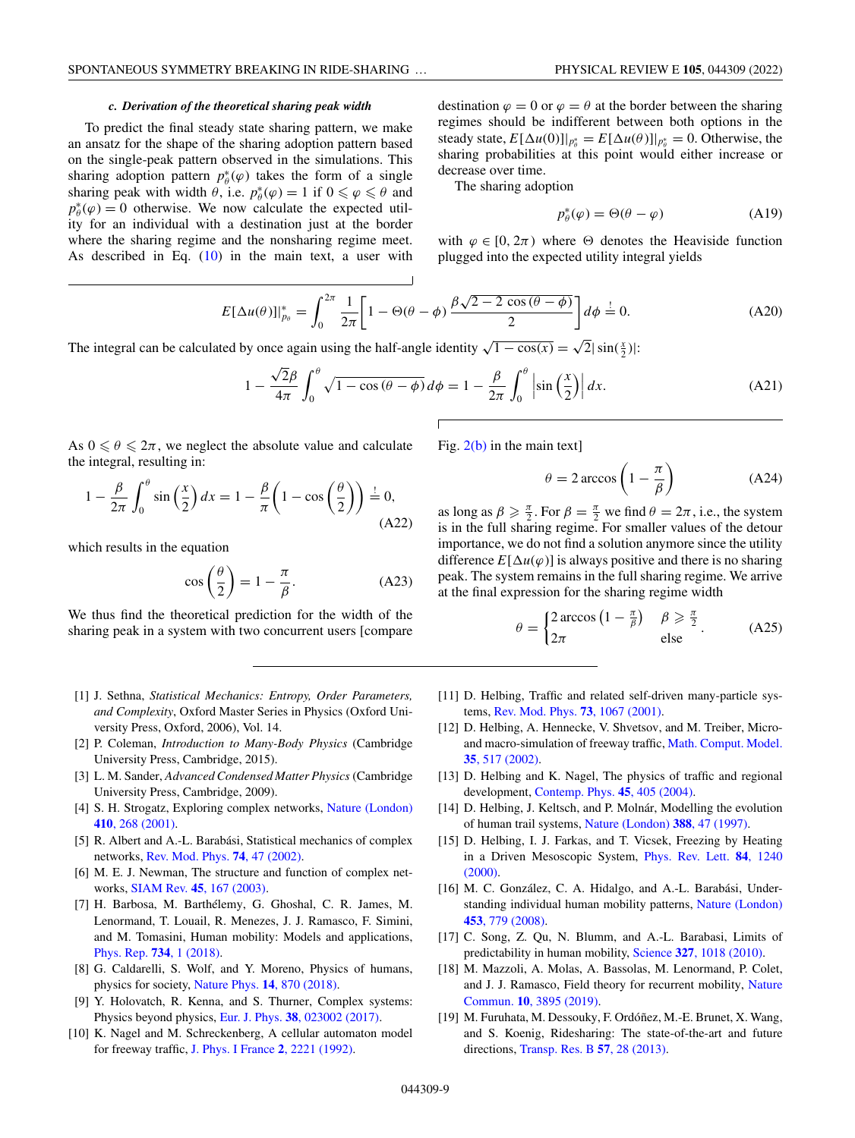### *c. Derivation of the theoretical sharing peak width*

<span id="page-8-0"></span>To predict the final steady state sharing pattern, we make an ansatz for the shape of the sharing adoption pattern based on the single-peak pattern observed in the simulations. This sharing adoption pattern  $p^*_{\theta}(\varphi)$  takes the form of a single sharing peak with width  $\theta$ , i.e.  $p^*_{\theta}(\varphi) = 1$  if  $0 \le \varphi \le \theta$  and  $p^*_{\theta}(\varphi) = 0$  otherwise. We now calculate the expected utility for an individual with a destination just at the border where the sharing regime and the nonsharing regime meet. As described in Eq.  $(10)$  in the main text, a user with destination  $\varphi = 0$  or  $\varphi = \theta$  at the border between the sharing regimes should be indifferent between both options in the steady state,  $E[\Delta u(0)]|_{p_{\theta}^*} = E[\Delta u(\theta)]|_{p_{\theta}^*} = 0$ . Otherwise, the sharing probabilities at this point would either increase or decrease over time.

The sharing adoption

$$
p_{\theta}^*(\varphi) = \Theta(\theta - \varphi) \tag{A19}
$$

with  $\varphi \in [0, 2\pi)$  where  $\Theta$  denotes the Heaviside function plugged into the expected utility integral yields

$$
E[\Delta u(\theta)]|_{p_{\theta}}^* = \int_0^{2\pi} \frac{1}{2\pi} \left[1 - \Theta(\theta - \phi) \frac{\beta \sqrt{2 - 2 \cos(\theta - \phi)}}{2}\right] d\phi = 0.
$$
 (A20)

The integral can be calculated by once again using the half-angle identity  $\sqrt{1 - \cos(x)} = \sqrt{2} |\sin(\frac{x}{2})|$ :

$$
1 - \frac{\sqrt{2}\beta}{4\pi} \int_0^\theta \sqrt{1 - \cos(\theta - \phi)} \, d\phi = 1 - \frac{\beta}{2\pi} \int_0^\theta \left| \sin\left(\frac{x}{2}\right) \right| dx. \tag{A21}
$$

As  $0 \le \theta \le 2\pi$ , we neglect the absolute value and calculate the integral, resulting in:

$$
1 - \frac{\beta}{2\pi} \int_0^\theta \sin\left(\frac{x}{2}\right) dx = 1 - \frac{\beta}{\pi} \left(1 - \cos\left(\frac{\theta}{2}\right)\right) \stackrel{!}{=} 0,
$$
\n(A22)

which results in the equation

$$
\cos\left(\frac{\theta}{2}\right) = 1 - \frac{\pi}{\beta}.\tag{A23}
$$

We thus find the theoretical prediction for the width of the sharing peak in a system with two concurrent users [compare

- [1] J. Sethna, *Statistical Mechanics: Entropy, Order Parameters, and Complexity*, Oxford Master Series in Physics (Oxford University Press, Oxford, 2006), Vol. 14.
- [2] P. Coleman, *Introduction to Many-Body Physics* (Cambridge University Press, Cambridge, 2015).
- [3] L. M. Sander, *Advanced Condensed Matter Physics* (Cambridge University Press, Cambridge, 2009).
- [4] [S. H. Strogatz, Exploring complex networks,](https://doi.org/10.1038/35065725) Nature (London) **410**, 268 (2001).
- [5] R. Albert and A.-L. Barabási, Statistical mechanics of complex networks, [Rev. Mod. Phys.](https://doi.org/10.1103/RevModPhys.74.47) **74**, 47 (2002).
- [6] M. E. J. Newman, The structure and function of complex networks, SIAM Rev. **45**[, 167 \(2003\).](https://doi.org/10.1137/S003614450342480)
- [7] H. Barbosa, M. Barthélemy, G. Ghoshal, C. R. James, M. Lenormand, T. Louail, R. Menezes, J. J. Ramasco, F. Simini, and M. Tomasini, Human mobility: Models and applications, [Phys. Rep.](https://doi.org/10.1016/j.physrep.2018.01.001) **734**, 1 (2018).
- [8] G. Caldarelli, S. Wolf, and Y. Moreno, Physics of humans, physics for society, [Nature Phys.](https://doi.org/10.1038/s41567-018-0266-x) **14**, 870 (2018).
- [9] Y. Holovatch, R. Kenna, and S. Thurner, Complex systems: Physics beyond physics, Eur. J. Phys. **38**[, 023002 \(2017\).](https://doi.org/10.1088/1361-6404/aa5a87)
- [10] K. Nagel and M. Schreckenberg, A cellular automaton model for freeway traffic, [J. Phys. I France](https://doi.org/10.1051/jp1:1992277) **2**, 2221 (1992).

Fig. [2\(b\)](#page-3-0) in the main text]

$$
\theta = 2 \arccos\left(1 - \frac{\pi}{\beta}\right) \tag{A24}
$$

as long as  $\beta \ge \frac{\pi}{2}$ . For  $\beta = \frac{\pi}{2}$  we find  $\theta = 2\pi$ , i.e., the system is in the full sharing regime. For smaller values of the detour importance, we do not find a solution anymore since the utility difference  $E[\Delta u(\varphi)]$  is always positive and there is no sharing peak. The system remains in the full sharing regime. We arrive at the final expression for the sharing regime width

$$
\theta = \begin{cases} 2\arccos\left(1 - \frac{\pi}{\beta}\right) & \beta \ge \frac{\pi}{2} \\ 2\pi & \text{else} \end{cases} . \tag{A25}
$$

- [11] D. Helbing, Traffic and related self-driven many-particle systems, [Rev. Mod. Phys.](https://doi.org/10.1103/RevModPhys.73.1067) **73**, 1067 (2001).
- [12] D. Helbing, A. Hennecke, V. Shvetsov, and M. Treiber, Micro[and macro-simulation of freeway traffic,](https://doi.org/10.1016/S0895-7177(02)80019-X) Math. Comput. Model. **35**, 517 (2002).
- [13] D. Helbing and K. Nagel, The physics of traffic and regional development, [Contemp. Phys.](https://doi.org/10.1080/00107510410001715944) **45**, 405 (2004).
- [14] D. Helbing, J. Keltsch, and P. Molnár, Modelling the evolution of human trail systems, [Nature \(London\)](https://doi.org/10.1038/40353) **388**, 47 (1997).
- [15] D. Helbing, I. J. Farkas, and T. Vicsek, Freezing by Heating [in a Driven Mesoscopic System,](https://doi.org/10.1103/PhysRevLett.84.1240) Phys. Rev. Lett. **84**, 1240 (2000).
- [16] M. C. González, C. A. Hidalgo, and A.-L. Barabási, Under[standing individual human mobility patterns,](https://doi.org/10.1038/nature06958) Nature (London) **453**, 779 (2008).
- [17] C. Song, Z. Qu, N. Blumm, and A.-L. Barabasi, Limits of predictability in human mobility, Science **327**[, 1018 \(2010\).](https://doi.org/10.1126/science.1177170)
- [18] M. Mazzoli, A. Molas, A. Bassolas, M. Lenormand, P. Colet, [and J. J. Ramasco, Field theory for recurrent mobility,](https://doi.org/10.1038/s41467-019-11841-2) Nature Commun. **10**, 3895 (2019).
- [19] M. Furuhata, M. Dessouky, F. Ordóñez, M.-E. Brunet, X. Wang, and S. Koenig, Ridesharing: The state-of-the-art and future directions, [Transp. Res. B](https://doi.org/10.1016/j.trb.2013.08.012) **57**, 28 (2013).